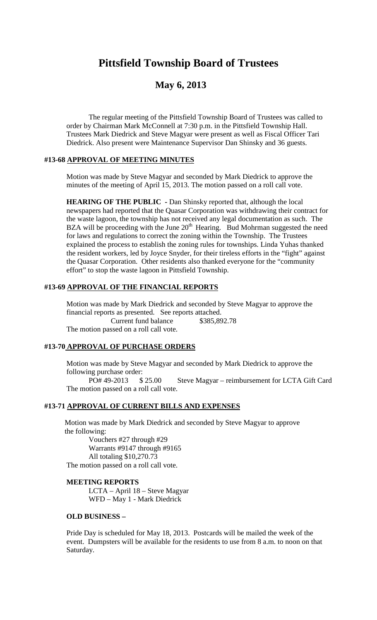# **Pittsfield Township Board of Trustees**

## **May 6, 2013**

The regular meeting of the Pittsfield Township Board of Trustees was called to order by Chairman Mark McConnell at 7:30 p.m. in the Pittsfield Township Hall. Trustees Mark Diedrick and Steve Magyar were present as well as Fiscal Officer Tari Diedrick. Also present were Maintenance Supervisor Dan Shinsky and 36 guests.

#### **#13-68 APPROVAL OF MEETING MINUTES**

Motion was made by Steve Magyar and seconded by Mark Diedrick to approve the minutes of the meeting of April 15, 2013. The motion passed on a roll call vote.

**HEARING OF THE PUBLIC -** Dan Shinsky reported that, although the local newspapers had reported that the Quasar Corporation was withdrawing their contract for the waste lagoon, the township has not received any legal documentation as such. The BZA will be proceeding with the June  $20<sup>th</sup>$  Hearing. Bud Mohrman suggested the need for laws and regulations to correct the zoning within the Township. The Trustees explained the process to establish the zoning rules for townships. Linda Yuhas thanked the resident workers, led by Joyce Snyder, for their tireless efforts in the "fight" against the Quasar Corporation. Other residents also thanked everyone for the "community effort" to stop the waste lagoon in Pittsfield Township.

#### **#13-69 APPROVAL OF THE FINANCIAL REPORTS**

Motion was made by Mark Diedrick and seconded by Steve Magyar to approve the financial reports as presented. See reports attached. Current fund balance \$385,892.78 The motion passed on a roll call vote.

### **#13-70 APPROVAL OF PURCHASE ORDERS**

Motion was made by Steve Magyar and seconded by Mark Diedrick to approve the following purchase order:

PO# 49-2013 \$ 25.00 Steve Magyar – reimbursement for LCTA Gift Card The motion passed on a roll call vote.

## **#13-71 APPROVAL OF CURRENT BILLS AND EXPENSES**

Motion was made by Mark Diedrick and seconded by Steve Magyar to approve the following:

Vouchers #27 through #29 Warrants #9147 through #9165 All totaling \$10,270.73

The motion passed on a roll call vote.

#### **MEETING REPORTS**

LCTA – April 18 – Steve Magyar WFD – May 1 - Mark Diedrick

## **OLD BUSINESS –**

Pride Day is scheduled for May 18, 2013. Postcards will be mailed the week of the event. Dumpsters will be available for the residents to use from 8 a.m. to noon on that Saturday.